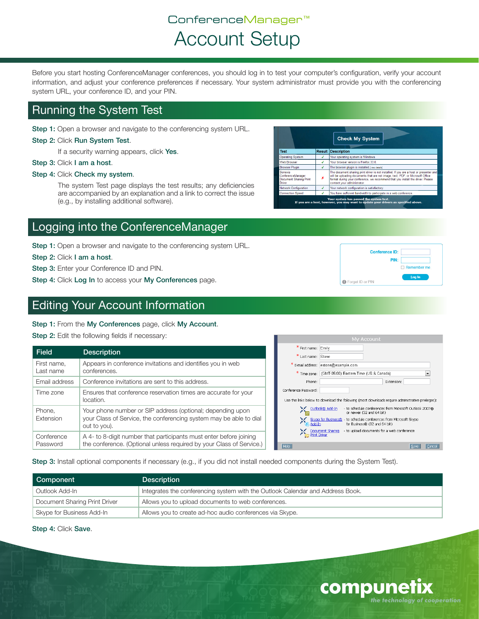# ConferenceManager™ Account Setup

Before you start hosting ConferenceManager conferences, you should log in to test your computer's configuration, verify your account information, and adjust your conference preferences if necessary. Your system administrator must provide you with the conferencing system URL, your conference ID, and your PIN.

### Running the System Test

Step 1: Open a browser and navigate to the conferencing system URL.

#### Step 2: Click Run System Test.

If a security warning appears, click Yes.

Step 3: Click I am a host.

#### Step 4: Click Check my system.

The system Test page displays the test results; any deficiencies are accompanied by an explanation and a link to correct the issue (e.g., by installing additional software).

### Logging into the ConferenceManager

Step 1: Open a browser and navigate to the conferencing system URL.

Step 2: Click I am a host.

Step 3: Enter your Conference ID and PIN.

Step 4: Click Log In to access your My Conferences page.

### Editing Your Account Information

#### Step 1: From the My Conferences page, click My Account.

Step 2: Edit the following fields if necessary:

| <b>Field</b>  | <b>Description</b>                                                                 | * First name        |
|---------------|------------------------------------------------------------------------------------|---------------------|
|               |                                                                                    | * Last name         |
| First name.   | Appears in conference invitations and identifies you in web                        | * E-mail addres     |
| Last name     | conferences.                                                                       | * Time zone         |
| Email address | Conference invitations are sent to this address.                                   |                     |
| Time zone     | Ensures that conference reservation times are accurate for your                    | Conference Password |
|               | location.                                                                          | Use the links below |
| Phone.        | Your phone number or SIP address (optional; depending upon                         | ⊁⊱ू∾                |
| Extension     | your Class of Service, the conferencing system may be able to dial<br>out to you). | <b>AK</b><br>SA     |
|               |                                                                                    | X Do                |
| Conference    | A 4- to 8-digit number that participants must enter before joining                 |                     |
| Password      | the conference. (Optional unless required by your Class of Service.)               | Help                |

e: Emily  $\frac{1}{\sqrt{2}}$  Stone s: estone@example.com (GMT-05:00) Eastern Time (US & Canada)  $\overline{\phantom{a}}$ Extension: to download the following (most downloads require administrative privileges):  $\frac{\text{block@Add-In}}{\text{or newer (32 and 64 bit)}}$ or newer (32 and 64 bit)<br><u>ype for Business®</u> - to schedule conferences from Microsoft Skype<br><u>d-In</u> for Business® (32 and 64 bit) consumer the commode (de direction)<br>cument Sharing - to upload documents for a web conference<br>of Driver Save Cancel

Step 3: Install optional components if necessary (e.g., if you did not install needed components during the System Test).

| Component                     | <b>Description</b>                                                             |
|-------------------------------|--------------------------------------------------------------------------------|
| Outlook Add-In                | Integrates the conferencing system with the Outlook Calendar and Address Book. |
| Document Sharing Print Driver | Allows you to upload documents to web conferences.                             |
| Skype for Business Add-In     | Allows you to create ad-hoc audio conferences via Skype.                       |

Step 4: Click Save.